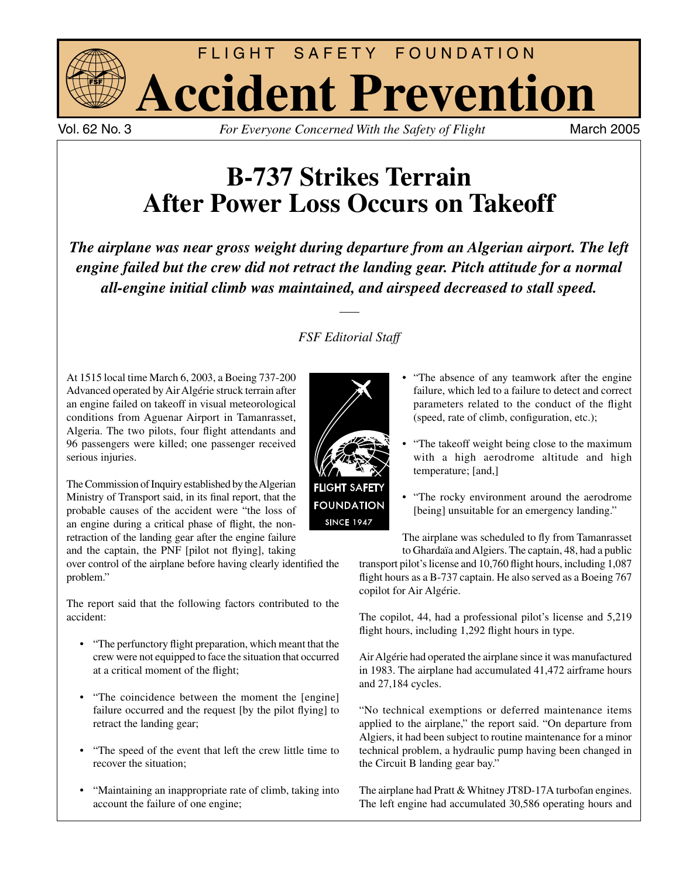

Vol. 62 No. 3 *For Everyone Concerned With the Safety of Flight* 

# **B-737 Strikes Terrain After Power Loss Occurs on Takeoff**

*The airplane was near gross weight during departure from an Algerian airport. The left engine failed but the crew did not retract the landing gear. Pitch attitude for a normal all-engine initial climb was maintained, and airspeed decreased to stall speed.*

## *FSF Editorial Staff*

At 1515 local time March 6, 2003, a Boeing 737-200 Advanced operated by Air Algérie struck terrain after an engine failed on takeoff in visual meteorological conditions from Aguenar Airport in Tamanrasset, Algeria. The two pilots, four flight attendants and 96 passengers were killed; one passenger received serious injuries.

The Commission of Inquiry established by the Algerian Ministry of Transport said, in its final report, that the probable causes of the accident were "the loss of an engine during a critical phase of flight, the nonretraction of the landing gear after the engine failure and the captain, the PNF [pilot not flying], taking

over control of the airplane before having clearly identified the problem."

The report said that the following factors contributed to the accident:

- "The perfunctory flight preparation, which meant that the crew were not equipped to face the situation that occurred at a critical moment of the flight;
- "The coincidence between the moment the [engine] failure occurred and the request [by the pilot flying] to retract the landing gear;
- "The speed of the event that left the crew little time to recover the situation;
- "Maintaining an inappropriate rate of climb, taking into account the failure of one engine;



- "The absence of any teamwork after the engine failure, which led to a failure to detect and correct parameters related to the conduct of the flight  $(speed, rate of climb, configuration, etc.);$
- "The takeoff weight being close to the maximum with a high aerodrome altitude and high temperature; [and,]
- "The rocky environment around the aerodrome [being] unsuitable for an emergency landing."

The airplane was scheduled to fly from Tamanrasset to Ghardaïa and Algiers. The captain, 48, had a public transport pilot's license and 10,760 flight hours, including 1,087 flight hours as a B-737 captain. He also served as a Boeing 767 copilot for Air Algérie.

The copilot, 44, had a professional pilot's license and 5,219 flight hours, including 1,292 flight hours in type.

Air Algérie had operated the airplane since it was manufactured in 1983. The airplane had accumulated 41,472 airframe hours and 27,184 cycles.

"No technical exemptions or deferred maintenance items applied to the airplane," the report said. "On departure from Algiers, it had been subject to routine maintenance for a minor technical problem, a hydraulic pump having been changed in the Circuit B landing gear bay."

The airplane had Pratt & Whitney JT8D-17A turbofan engines. The left engine had accumulated 30,586 operating hours and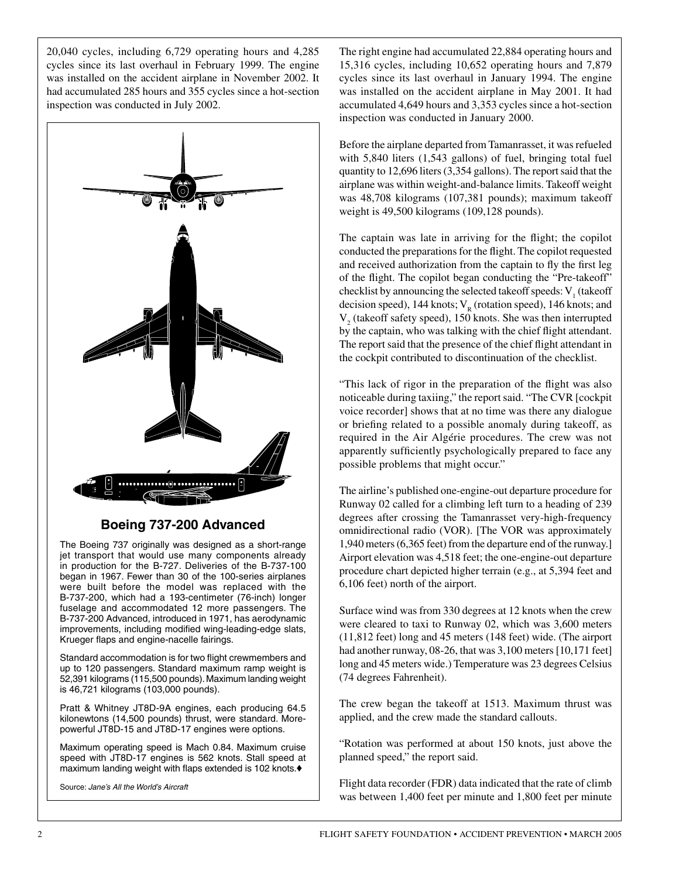20,040 cycles, including 6,729 operating hours and 4,285 cycles since its last overhaul in February 1999. The engine was installed on the accident airplane in November 2002. It had accumulated 285 hours and 355 cycles since a hot-section inspection was conducted in July 2002.



### **Boeing 737-200 Advanced**

The Boeing 737 originally was designed as a short-range jet transport that would use many components already in production for the B-727. Deliveries of the B-737-100 began in 1967. Fewer than 30 of the 100-series airplanes were built before the model was replaced with the B-737-200, which had a 193-centimeter (76-inch) longer fuselage and accommodated 12 more passengers. The B-737-200 Advanced, introduced in 1971, has aerodynamic improvements, including modified wing-leading-edge slats, Krueger flaps and engine-nacelle fairings.

Standard accommodation is for two flight crewmembers and up to 120 passengers. Standard maximum ramp weight is 52,391 kilograms (115,500 pounds). Maximum landing weight is 46,721 kilograms (103,000 pounds).

Pratt & Whitney JT8D-9A engines, each producing 64.5 kilonewtons (14,500 pounds) thrust, were standard. Morepowerful JT8D-15 and JT8D-17 engines were options.

Maximum operating speed is Mach 0.84. Maximum cruise speed with JT8D-17 engines is 562 knots. Stall speed at maximum landing weight with flaps extended is 102 knots. $\blacklozenge$ 

Source: *Jane's All the World's Aircraft*

The right engine had accumulated 22,884 operating hours and 15,316 cycles, including 10,652 operating hours and 7,879 cycles since its last overhaul in January 1994. The engine was installed on the accident airplane in May 2001. It had accumulated 4,649 hours and 3,353 cycles since a hot-section inspection was conducted in January 2000.

Before the airplane departed from Tamanrasset, it was refueled with 5,840 liters (1,543 gallons) of fuel, bringing total fuel quantity to 12,696 liters (3,354 gallons). The report said that the airplane was within weight-and-balance limits. Takeoff weight was 48,708 kilograms (107,381 pounds); maximum takeoff weight is 49,500 kilograms (109,128 pounds).

The captain was late in arriving for the flight; the copilot conducted the preparations for the flight. The copilot requested and received authorization from the captain to fly the first leg of the flight. The copilot began conducting the "Pre-takeoff" checklist by announcing the selected takeoff speeds:  $V_1^{\text{}}$  (takeoff decision speed), 144 knots;  $V<sub>R</sub>$  (rotation speed), 146 knots; and  $V_2$  (takeoff safety speed), 150 knots. She was then interrupted by the captain, who was talking with the chief flight attendant. The report said that the presence of the chief flight attendant in the cockpit contributed to discontinuation of the checklist.

"This lack of rigor in the preparation of the flight was also noticeable during taxiing," the report said. "The CVR [cockpit voice recorder] shows that at no time was there any dialogue or briefing related to a possible anomaly during takeoff, as required in the Air Algérie procedures. The crew was not apparently sufficiently psychologically prepared to face any possible problems that might occur."

The airline's published one-engine-out departure procedure for Runway 02 called for a climbing left turn to a heading of 239 degrees after crossing the Tamanrasset very-high-frequency omnidirectional radio (VOR). [The VOR was approximately 1,940 meters (6,365 feet) from the departure end of the runway.] Airport elevation was 4,518 feet; the one-engine-out departure procedure chart depicted higher terrain (e.g., at 5,394 feet and 6,106 feet) north of the airport.

Surface wind was from 330 degrees at 12 knots when the crew were cleared to taxi to Runway 02, which was 3,600 meters (11,812 feet) long and 45 meters (148 feet) wide. (The airport had another runway, 08-26, that was 3,100 meters [10,171 feet] long and 45 meters wide.) Temperature was 23 degrees Celsius (74 degrees Fahrenheit).

The crew began the takeoff at 1513. Maximum thrust was applied, and the crew made the standard callouts.

"Rotation was performed at about 150 knots, just above the planned speed," the report said.

Flight data recorder (FDR) data indicated that the rate of climb was between 1,400 feet per minute and 1,800 feet per minute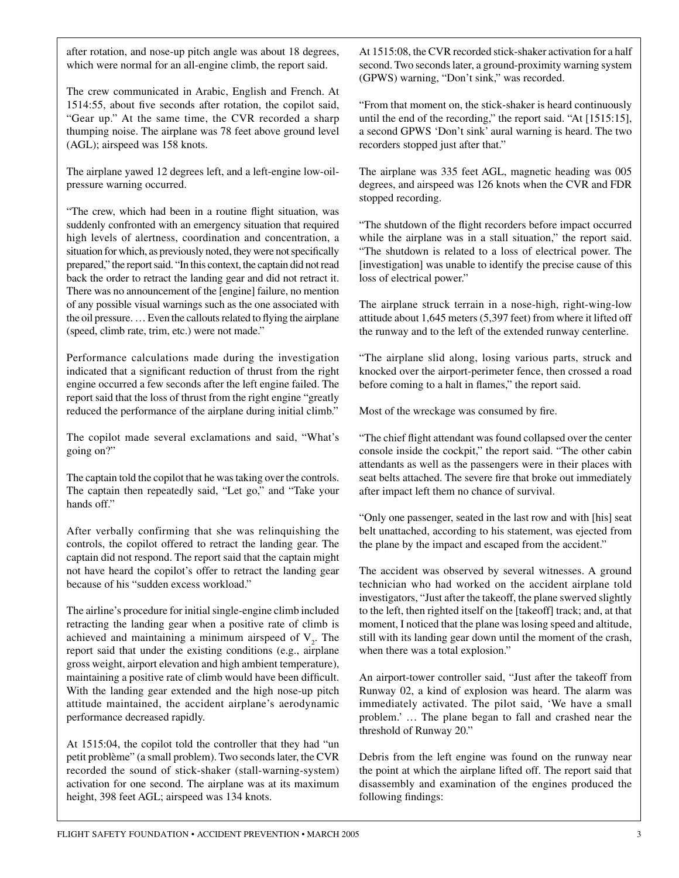after rotation, and nose-up pitch angle was about 18 degrees, which were normal for an all-engine climb, the report said.

The crew communicated in Arabic, English and French. At 1514:55, about five seconds after rotation, the copilot said, "Gear up." At the same time, the CVR recorded a sharp thumping noise. The airplane was 78 feet above ground level (AGL); airspeed was 158 knots.

The airplane yawed 12 degrees left, and a left-engine low-oilpressure warning occurred.

"The crew, which had been in a routine flight situation, was suddenly confronted with an emergency situation that required high levels of alertness, coordination and concentration, a situation for which, as previously noted, they were not specifically prepared," the report said. "In this context, the captain did not read back the order to retract the landing gear and did not retract it. There was no announcement of the [engine] failure, no mention of any possible visual warnings such as the one associated with the oil pressure. ... Even the callouts related to flying the airplane (speed, climb rate, trim, etc.) were not made."

Performance calculations made during the investigation indicated that a significant reduction of thrust from the right engine occurred a few seconds after the left engine failed. The report said that the loss of thrust from the right engine "greatly reduced the performance of the airplane during initial climb."

The copilot made several exclamations and said, "What's going on?"

The captain told the copilot that he was taking over the controls. The captain then repeatedly said, "Let go," and "Take your hands off."

After verbally confirming that she was relinquishing the controls, the copilot offered to retract the landing gear. The captain did not respond. The report said that the captain might not have heard the copilot's offer to retract the landing gear because of his "sudden excess workload."

The airline's procedure for initial single-engine climb included retracting the landing gear when a positive rate of climb is achieved and maintaining a minimum airspeed of  $V<sub>2</sub>$ . The report said that under the existing conditions (e.g., airplane gross weight, airport elevation and high ambient temperature), maintaining a positive rate of climb would have been difficult. With the landing gear extended and the high nose-up pitch attitude maintained, the accident airplane's aerodynamic performance decreased rapidly.

At 1515:04, the copilot told the controller that they had "un petit problème" (a small problem). Two seconds later, the CVR recorded the sound of stick-shaker (stall-warning-system) activation for one second. The airplane was at its maximum height, 398 feet AGL; airspeed was 134 knots.

At 1515:08, the CVR recorded stick-shaker activation for a half second. Two seconds later, a ground-proximity warning system (GPWS) warning, "Don't sink," was recorded.

"From that moment on, the stick-shaker is heard continuously until the end of the recording," the report said. "At [1515:15], a second GPWS 'Don't sink' aural warning is heard. The two recorders stopped just after that."

The airplane was 335 feet AGL, magnetic heading was 005 degrees, and airspeed was 126 knots when the CVR and FDR stopped recording.

"The shutdown of the flight recorders before impact occurred while the airplane was in a stall situation," the report said. "The shutdown is related to a loss of electrical power. The [investigation] was unable to identify the precise cause of this loss of electrical power."

The airplane struck terrain in a nose-high, right-wing-low attitude about 1,645 meters (5,397 feet) from where it lifted off the runway and to the left of the extended runway centerline.

"The airplane slid along, losing various parts, struck and knocked over the airport-perimeter fence, then crossed a road before coming to a halt in flames," the report said.

Most of the wreckage was consumed by fire.

"The chief flight attendant was found collapsed over the center console inside the cockpit," the report said. "The other cabin attendants as well as the passengers were in their places with seat belts attached. The severe fire that broke out immediately after impact left them no chance of survival.

"Only one passenger, seated in the last row and with [his] seat belt unattached, according to his statement, was ejected from the plane by the impact and escaped from the accident."

The accident was observed by several witnesses. A ground technician who had worked on the accident airplane told investigators, "Just after the takeoff, the plane swerved slightly to the left, then righted itself on the [takeoff] track; and, at that moment, I noticed that the plane was losing speed and altitude, still with its landing gear down until the moment of the crash, when there was a total explosion."

An airport-tower controller said, "Just after the takeoff from Runway 02, a kind of explosion was heard. The alarm was immediately activated. The pilot said, 'We have a small problem.' … The plane began to fall and crashed near the threshold of Runway 20."

Debris from the left engine was found on the runway near the point at which the airplane lifted off. The report said that disassembly and examination of the engines produced the following findings: